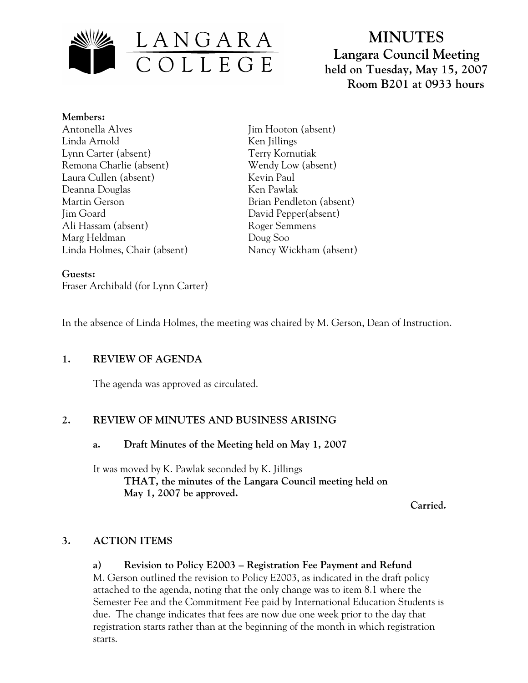

**MINUTES Langara Council Meeting held on Tuesday, May 15, 2007 Room B201 at 0933 hours**

### **Members:**

- Antonella Alves Linda Arnold Lynn Carter (absent) Remona Charlie (absent) Laura Cullen (absent) Deanna Douglas Martin Gerson Jim Goard Ali Hassam (absent) Marg Heldman Linda Holmes, Chair (absent)
- Jim Hooton (absent) Ken Jillings Terry Kornutiak Wendy Low (absent) Kevin Paul Ken Pawlak Brian Pendleton (absent) David Pepper(absent) Roger Semmens Doug Soo Nancy Wickham (absent)

### **Guests:**  Fraser Archibald (for Lynn Carter)

In the absence of Linda Holmes, the meeting was chaired by M. Gerson, Dean of Instruction.

# **1. REVIEW OF AGENDA**

The agenda was approved as circulated.

# **2. REVIEW OF MINUTES AND BUSINESS ARISING**

#### **a. Draft Minutes of the Meeting held on May 1, 2007**

It was moved by K. Pawlak seconded by K. Jillings  **THAT, the minutes of the Langara Council meeting held on May 1, 2007 be approved.** 

 **Carried.** 

# **3. ACTION ITEMS**

# **a) Revision to Policy E2003 – Registration Fee Payment and Refund**

M. Gerson outlined the revision to Policy E2003, as indicated in the draft policy attached to the agenda, noting that the only change was to item 8.1 where the Semester Fee and the Commitment Fee paid by International Education Students is due. The change indicates that fees are now due one week prior to the day that registration starts rather than at the beginning of the month in which registration starts.